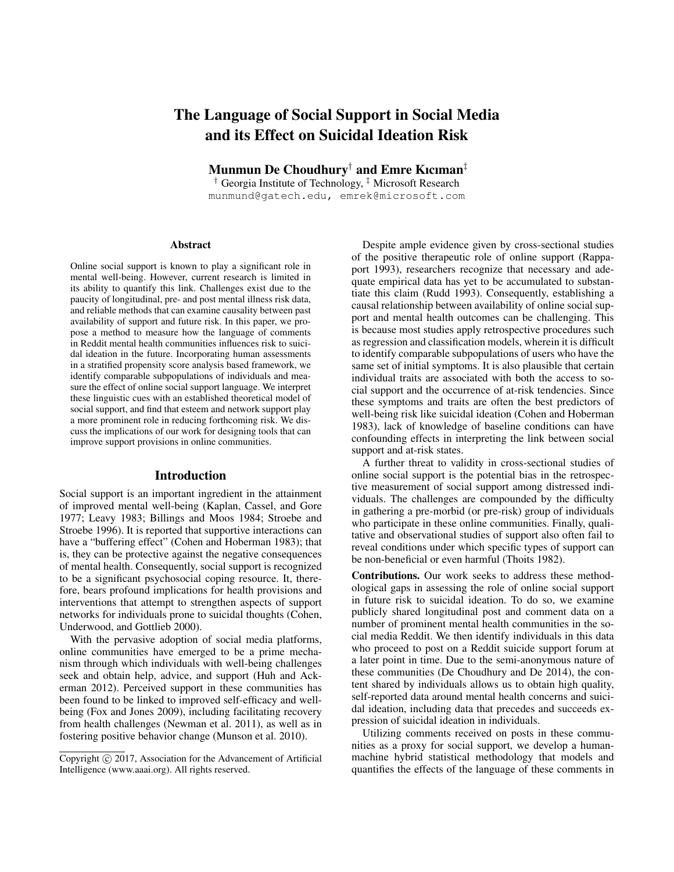# The Language of Social Support in Social Media and its Effect on Suicidal Ideation Risk

Munmun De Choudhury† and Emre Kıcıman‡

† Georgia Institute of Technology, ‡ Microsoft Research munmund@gatech.edu, emrek@microsoft.com

#### Abstract

Online social support is known to play a significant role in mental well-being. However, current research is limited in its ability to quantify this link. Challenges exist due to the paucity of longitudinal, pre- and post mental illness risk data, and reliable methods that can examine causality between past availability of support and future risk. In this paper, we propose a method to measure how the language of comments in Reddit mental health communities influences risk to suicidal ideation in the future. Incorporating human assessments in a stratified propensity score analysis based framework, we identify comparable subpopulations of individuals and measure the effect of online social support language. We interpret these linguistic cues with an established theoretical model of social support, and find that esteem and network support play a more prominent role in reducing forthcoming risk. We discuss the implications of our work for designing tools that can improve support provisions in online communities.

## Introduction

Social support is an important ingredient in the attainment of improved mental well-being (Kaplan, Cassel, and Gore 1977; Leavy 1983; Billings and Moos 1984; Stroebe and Stroebe 1996). It is reported that supportive interactions can have a "buffering effect" (Cohen and Hoberman 1983); that is, they can be protective against the negative consequences of mental health. Consequently, social support is recognized to be a significant psychosocial coping resource. It, therefore, bears profound implications for health provisions and interventions that attempt to strengthen aspects of support networks for individuals prone to suicidal thoughts (Cohen, Underwood, and Gottlieb 2000).

With the pervasive adoption of social media platforms, online communities have emerged to be a prime mechanism through which individuals with well-being challenges seek and obtain help, advice, and support (Huh and Ackerman 2012). Perceived support in these communities has been found to be linked to improved self-efficacy and wellbeing (Fox and Jones 2009), including facilitating recovery from health challenges (Newman et al. 2011), as well as in fostering positive behavior change (Munson et al. 2010).

Despite ample evidence given by cross-sectional studies of the positive therapeutic role of online support (Rappaport 1993), researchers recognize that necessary and adequate empirical data has yet to be accumulated to substantiate this claim (Rudd 1993). Consequently, establishing a causal relationship between availability of online social support and mental health outcomes can be challenging. This is because most studies apply retrospective procedures such as regression and classification models, wherein it is difficult to identify comparable subpopulations of users who have the same set of initial symptoms. It is also plausible that certain individual traits are associated with both the access to social support and the occurrence of at-risk tendencies. Since these symptoms and traits are often the best predictors of well-being risk like suicidal ideation (Cohen and Hoberman 1983), lack of knowledge of baseline conditions can have confounding effects in interpreting the link between social support and at-risk states.

A further threat to validity in cross-sectional studies of online social support is the potential bias in the retrospective measurement of social support among distressed individuals. The challenges are compounded by the difficulty in gathering a pre-morbid (or pre-risk) group of individuals who participate in these online communities. Finally, qualitative and observational studies of support also often fail to reveal conditions under which specific types of support can be non-beneficial or even harmful (Thoits 1982).

Contributions. Our work seeks to address these methodological gaps in assessing the role of online social support in future risk to suicidal ideation. To do so, we examine publicly shared longitudinal post and comment data on a number of prominent mental health communities in the social media Reddit. We then identify individuals in this data who proceed to post on a Reddit suicide support forum at a later point in time. Due to the semi-anonymous nature of these communities (De Choudhury and De 2014), the content shared by individuals allows us to obtain high quality, self-reported data around mental health concerns and suicidal ideation, including data that precedes and succeeds expression of suicidal ideation in individuals.

Utilizing comments received on posts in these communities as a proxy for social support, we develop a humanmachine hybrid statistical methodology that models and quantifies the effects of the language of these comments in

Copyright  $\odot$  2017, Association for the Advancement of Artificial Intelligence (www.aaai.org). All rights reserved.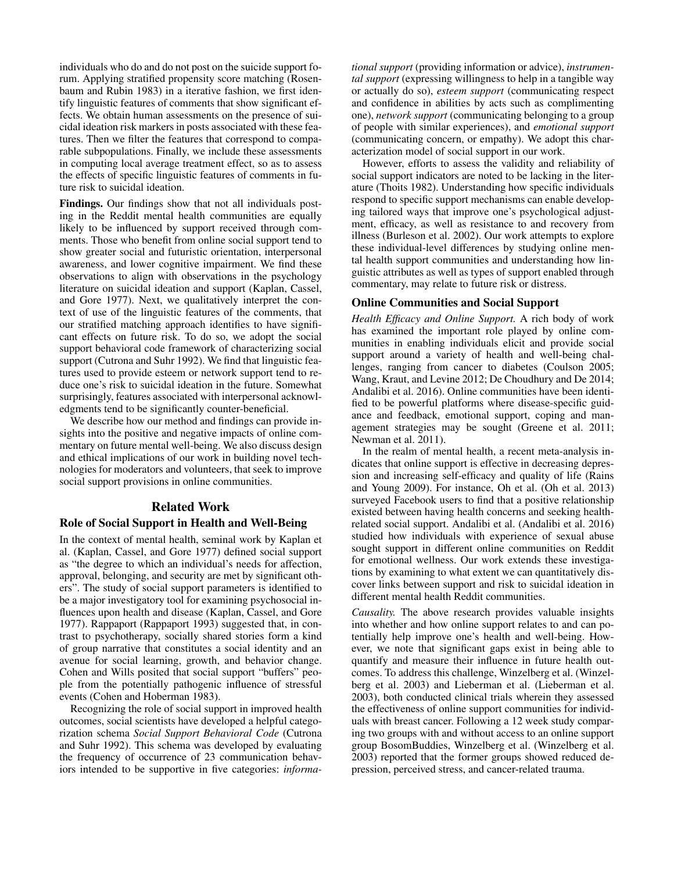individuals who do and do not post on the suicide support forum. Applying stratified propensity score matching (Rosenbaum and Rubin 1983) in a iterative fashion, we first identify linguistic features of comments that show significant effects. We obtain human assessments on the presence of suicidal ideation risk markers in posts associated with these features. Then we filter the features that correspond to comparable subpopulations. Finally, we include these assessments in computing local average treatment effect, so as to assess the effects of specific linguistic features of comments in future risk to suicidal ideation.

Findings. Our findings show that not all individuals posting in the Reddit mental health communities are equally likely to be influenced by support received through comments. Those who benefit from online social support tend to show greater social and futuristic orientation, interpersonal awareness, and lower cognitive impairment. We find these observations to align with observations in the psychology literature on suicidal ideation and support (Kaplan, Cassel, and Gore 1977). Next, we qualitatively interpret the context of use of the linguistic features of the comments, that our stratified matching approach identifies to have significant effects on future risk. To do so, we adopt the social support behavioral code framework of characterizing social support (Cutrona and Suhr 1992). We find that linguistic features used to provide esteem or network support tend to reduce one's risk to suicidal ideation in the future. Somewhat surprisingly, features associated with interpersonal acknowledgments tend to be significantly counter-beneficial.

We describe how our method and findings can provide insights into the positive and negative impacts of online commentary on future mental well-being. We also discuss design and ethical implications of our work in building novel technologies for moderators and volunteers, that seek to improve social support provisions in online communities.

# Related Work

#### Role of Social Support in Health and Well-Being

In the context of mental health, seminal work by Kaplan et al. (Kaplan, Cassel, and Gore 1977) defined social support as "the degree to which an individual's needs for affection, approval, belonging, and security are met by significant others". The study of social support parameters is identified to be a major investigatory tool for examining psychosocial influences upon health and disease (Kaplan, Cassel, and Gore 1977). Rappaport (Rappaport 1993) suggested that, in contrast to psychotherapy, socially shared stories form a kind of group narrative that constitutes a social identity and an avenue for social learning, growth, and behavior change. Cohen and Wills posited that social support "buffers" people from the potentially pathogenic influence of stressful events (Cohen and Hoberman 1983).

Recognizing the role of social support in improved health outcomes, social scientists have developed a helpful categorization schema *Social Support Behavioral Code* (Cutrona and Suhr 1992). This schema was developed by evaluating the frequency of occurrence of 23 communication behaviors intended to be supportive in five categories: *informa-* *tional support* (providing information or advice), *instrumental support* (expressing willingness to help in a tangible way or actually do so), *esteem support* (communicating respect and confidence in abilities by acts such as complimenting one), *network support* (communicating belonging to a group of people with similar experiences), and *emotional support* (communicating concern, or empathy). We adopt this characterization model of social support in our work.

However, efforts to assess the validity and reliability of social support indicators are noted to be lacking in the literature (Thoits 1982). Understanding how specific individuals respond to specific support mechanisms can enable developing tailored ways that improve one's psychological adjustment, efficacy, as well as resistance to and recovery from illness (Burleson et al. 2002). Our work attempts to explore these individual-level differences by studying online mental health support communities and understanding how linguistic attributes as well as types of support enabled through commentary, may relate to future risk or distress.

#### Online Communities and Social Support

*Health Efficacy and Online Support.* A rich body of work has examined the important role played by online communities in enabling individuals elicit and provide social support around a variety of health and well-being challenges, ranging from cancer to diabetes (Coulson 2005; Wang, Kraut, and Levine 2012; De Choudhury and De 2014; Andalibi et al. 2016). Online communities have been identified to be powerful platforms where disease-specific guidance and feedback, emotional support, coping and management strategies may be sought (Greene et al. 2011; Newman et al. 2011).

In the realm of mental health, a recent meta-analysis indicates that online support is effective in decreasing depression and increasing self-efficacy and quality of life (Rains and Young 2009). For instance, Oh et al. (Oh et al. 2013) surveyed Facebook users to find that a positive relationship existed between having health concerns and seeking healthrelated social support. Andalibi et al. (Andalibi et al. 2016) studied how individuals with experience of sexual abuse sought support in different online communities on Reddit for emotional wellness. Our work extends these investigations by examining to what extent we can quantitatively discover links between support and risk to suicidal ideation in different mental health Reddit communities.

*Causality.* The above research provides valuable insights into whether and how online support relates to and can potentially help improve one's health and well-being. However, we note that significant gaps exist in being able to quantify and measure their influence in future health outcomes. To address this challenge, Winzelberg et al. (Winzelberg et al. 2003) and Lieberman et al. (Lieberman et al. 2003), both conducted clinical trials wherein they assessed the effectiveness of online support communities for individuals with breast cancer. Following a 12 week study comparing two groups with and without access to an online support group BosomBuddies, Winzelberg et al. (Winzelberg et al. 2003) reported that the former groups showed reduced depression, perceived stress, and cancer-related trauma.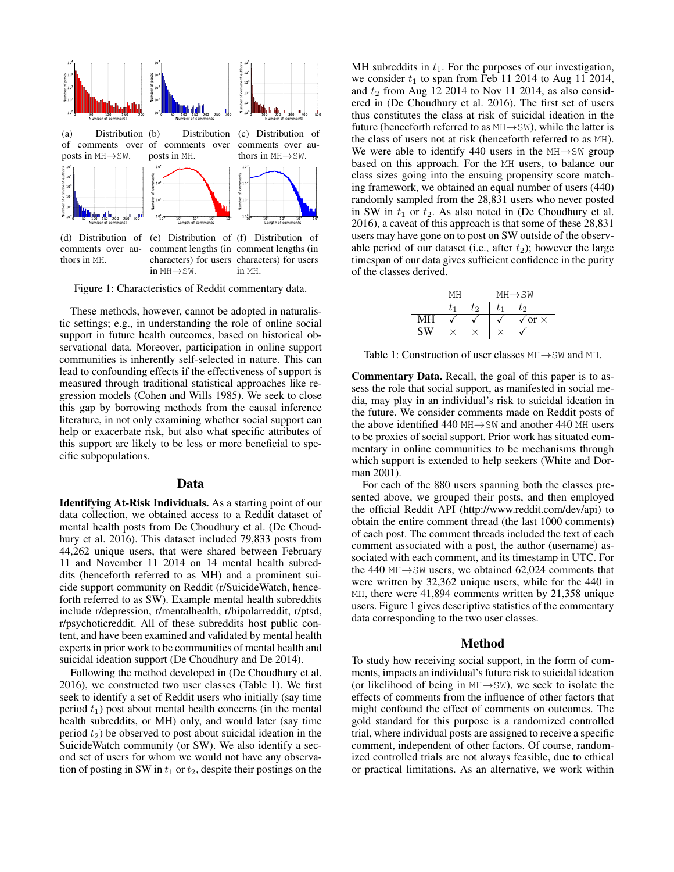

comments over authors in MH.

(d) Distribution of (e) Distribution of (f) Distribution of comment lengths (in comment lengths (in characters) for users characters) for users in MH→SW. in MH.

Figure 1: Characteristics of Reddit commentary data.

These methods, however, cannot be adopted in naturalistic settings; e.g., in understanding the role of online social support in future health outcomes, based on historical observational data. Moreover, participation in online support communities is inherently self-selected in nature. This can lead to confounding effects if the effectiveness of support is measured through traditional statistical approaches like regression models (Cohen and Wills 1985). We seek to close this gap by borrowing methods from the causal inference literature, in not only examining whether social support can help or exacerbate risk, but also what specific attributes of this support are likely to be less or more beneficial to specific subpopulations.

## Data

Identifying At-Risk Individuals. As a starting point of our data collection, we obtained access to a Reddit dataset of mental health posts from De Choudhury et al. (De Choudhury et al. 2016). This dataset included 79,833 posts from 44,262 unique users, that were shared between February 11 and November 11 2014 on 14 mental health subreddits (henceforth referred to as MH) and a prominent suicide support community on Reddit (r/SuicideWatch, henceforth referred to as SW). Example mental health subreddits include r/depression, r/mentalhealth, r/bipolarreddit, r/ptsd, r/psychoticreddit. All of these subreddits host public content, and have been examined and validated by mental health experts in prior work to be communities of mental health and suicidal ideation support (De Choudhury and De 2014).

Following the method developed in (De Choudhury et al. 2016), we constructed two user classes (Table 1). We first seek to identify a set of Reddit users who initially (say time period  $t_1$ ) post about mental health concerns (in the mental health subreddits, or MH) only, and would later (say time period  $t_2$ ) be observed to post about suicidal ideation in the SuicideWatch community (or SW). We also identify a second set of users for whom we would not have any observation of posting in SW in  $t_1$  or  $t_2$ , despite their postings on the

MH subreddits in  $t_1$ . For the purposes of our investigation, we consider  $t_1$  to span from Feb 11 2014 to Aug 11 2014, and  $t_2$  from Aug 12 2014 to Nov 11 2014, as also considered in (De Choudhury et al. 2016). The first set of users thus constitutes the class at risk of suicidal ideation in the future (henceforth referred to as  $MH \rightarrow SW$ ), while the latter is the class of users not at risk (henceforth referred to as MH). We were able to identify 440 users in the  $MH \rightarrow SW$  group based on this approach. For the MH users, to balance our class sizes going into the ensuing propensity score matching framework, we obtained an equal number of users (440) randomly sampled from the 28,831 users who never posted in SW in  $t_1$  or  $t_2$ . As also noted in (De Choudhury et al. 2016), a caveat of this approach is that some of these 28,831 users may have gone on to post on SW outside of the observable period of our dataset (i.e., after  $t_2$ ); however the large timespan of our data gives sufficient confidence in the purity of the classes derived.

|    | MН |    | MH→SW                |
|----|----|----|----------------------|
|    |    | もっ | ひっ                   |
| МН |    |    | $\sqrt{or}$ $\times$ |
|    |    |    |                      |

Table 1: Construction of user classes  $MH \rightarrow SW$  and MH.

Commentary Data. Recall, the goal of this paper is to assess the role that social support, as manifested in social media, may play in an individual's risk to suicidal ideation in the future. We consider comments made on Reddit posts of the above identified 440 MH→SW and another 440 MH users to be proxies of social support. Prior work has situated commentary in online communities to be mechanisms through which support is extended to help seekers (White and Dorman 2001).

For each of the 880 users spanning both the classes presented above, we grouped their posts, and then employed the official Reddit API (http://www.reddit.com/dev/api) to obtain the entire comment thread (the last 1000 comments) of each post. The comment threads included the text of each comment associated with a post, the author (username) associated with each comment, and its timestamp in UTC. For the 440 MH→SW users, we obtained 62,024 comments that were written by 32,362 unique users, while for the 440 in MH, there were 41,894 comments written by 21,358 unique users. Figure 1 gives descriptive statistics of the commentary data corresponding to the two user classes.

#### Method

To study how receiving social support, in the form of comments, impacts an individual's future risk to suicidal ideation (or likelihood of being in  $MH \rightarrow SW$ ), we seek to isolate the effects of comments from the influence of other factors that might confound the effect of comments on outcomes. The gold standard for this purpose is a randomized controlled trial, where individual posts are assigned to receive a specific comment, independent of other factors. Of course, randomized controlled trials are not always feasible, due to ethical or practical limitations. As an alternative, we work within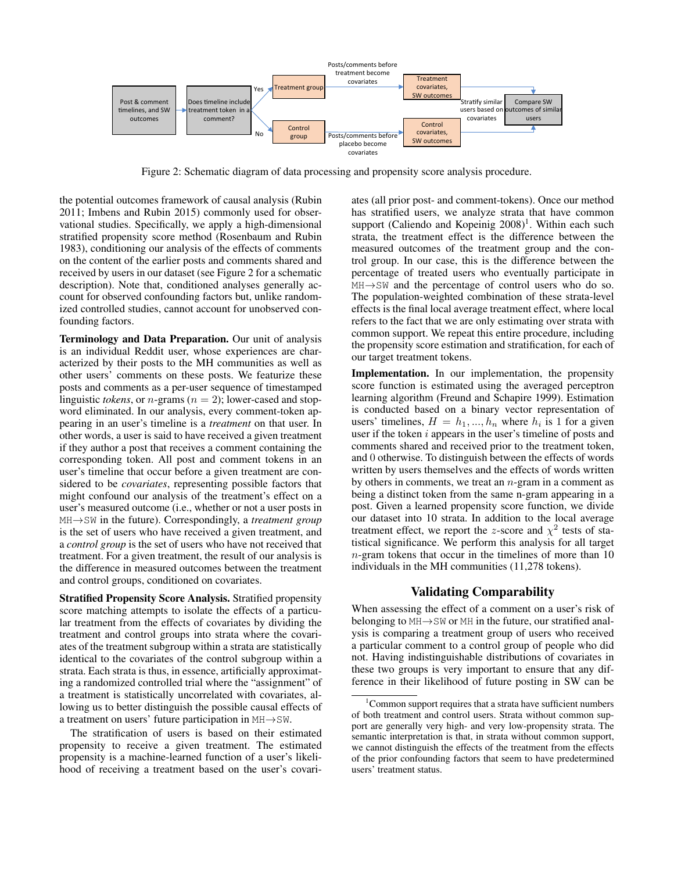

Figure 2: Schematic diagram of data processing and propensity score analysis procedure.

the potential outcomes framework of causal analysis (Rubin 2011; Imbens and Rubin 2015) commonly used for observational studies. Specifically, we apply a high-dimensional stratified propensity score method (Rosenbaum and Rubin 1983), conditioning our analysis of the effects of comments on the content of the earlier posts and comments shared and received by users in our dataset (see Figure 2 for a schematic description). Note that, conditioned analyses generally account for observed confounding factors but, unlike randomized controlled studies, cannot account for unobserved confounding factors.

Terminology and Data Preparation. Our unit of analysis is an individual Reddit user, whose experiences are characterized by their posts to the MH communities as well as other users' comments on these posts. We featurize these posts and comments as a per-user sequence of timestamped linguistic *tokens*, or *n*-grams ( $n = 2$ ); lower-cased and stopword eliminated. In our analysis, every comment-token appearing in an user's timeline is a *treatment* on that user. In other words, a user is said to have received a given treatment if they author a post that receives a comment containing the corresponding token. All post and comment tokens in an user's timeline that occur before a given treatment are considered to be *covariates*, representing possible factors that might confound our analysis of the treatment's effect on a user's measured outcome (i.e., whether or not a user posts in MH→SW in the future). Correspondingly, a *treatment group* is the set of users who have received a given treatment, and a *control group* is the set of users who have not received that treatment. For a given treatment, the result of our analysis is the difference in measured outcomes between the treatment and control groups, conditioned on covariates.

Stratified Propensity Score Analysis. Stratified propensity score matching attempts to isolate the effects of a particular treatment from the effects of covariates by dividing the treatment and control groups into strata where the covariates of the treatment subgroup within a strata are statistically identical to the covariates of the control subgroup within a strata. Each strata is thus, in essence, artificially approximating a randomized controlled trial where the "assignment" of a treatment is statistically uncorrelated with covariates, allowing us to better distinguish the possible causal effects of a treatment on users' future participation in MH→SW.

The stratification of users is based on their estimated propensity to receive a given treatment. The estimated propensity is a machine-learned function of a user's likelihood of receiving a treatment based on the user's covariates (all prior post- and comment-tokens). Once our method has stratified users, we analyze strata that have common support (Caliendo and Kopeinig 2008)<sup>1</sup>. Within each such strata, the treatment effect is the difference between the measured outcomes of the treatment group and the control group. In our case, this is the difference between the percentage of treated users who eventually participate in MH→SW and the percentage of control users who do so. The population-weighted combination of these strata-level effects is the final local average treatment effect, where local refers to the fact that we are only estimating over strata with common support. We repeat this entire procedure, including the propensity score estimation and stratification, for each of our target treatment tokens.

Implementation. In our implementation, the propensity score function is estimated using the averaged perceptron learning algorithm (Freund and Schapire 1999). Estimation is conducted based on a binary vector representation of users' timelines,  $H = h_1, ..., h_n$  where  $h_i$  is 1 for a given user if the token  $i$  appears in the user's timeline of posts and comments shared and received prior to the treatment token, and 0 otherwise. To distinguish between the effects of words written by users themselves and the effects of words written by others in comments, we treat an  $n$ -gram in a comment as being a distinct token from the same n-gram appearing in a post. Given a learned propensity score function, we divide our dataset into 10 strata. In addition to the local average treatment effect, we report the z-score and  $\chi^2$  tests of statistical significance. We perform this analysis for all target n-gram tokens that occur in the timelines of more than 10 individuals in the MH communities (11,278 tokens).

# Validating Comparability

When assessing the effect of a comment on a user's risk of belonging to MH→SW or MH in the future, our stratified analysis is comparing a treatment group of users who received a particular comment to a control group of people who did not. Having indistinguishable distributions of covariates in these two groups is very important to ensure that any difference in their likelihood of future posting in SW can be

 $1$ Common support requires that a strata have sufficient numbers of both treatment and control users. Strata without common support are generally very high- and very low-propensity strata. The semantic interpretation is that, in strata without common support, we cannot distinguish the effects of the treatment from the effects of the prior confounding factors that seem to have predetermined users' treatment status.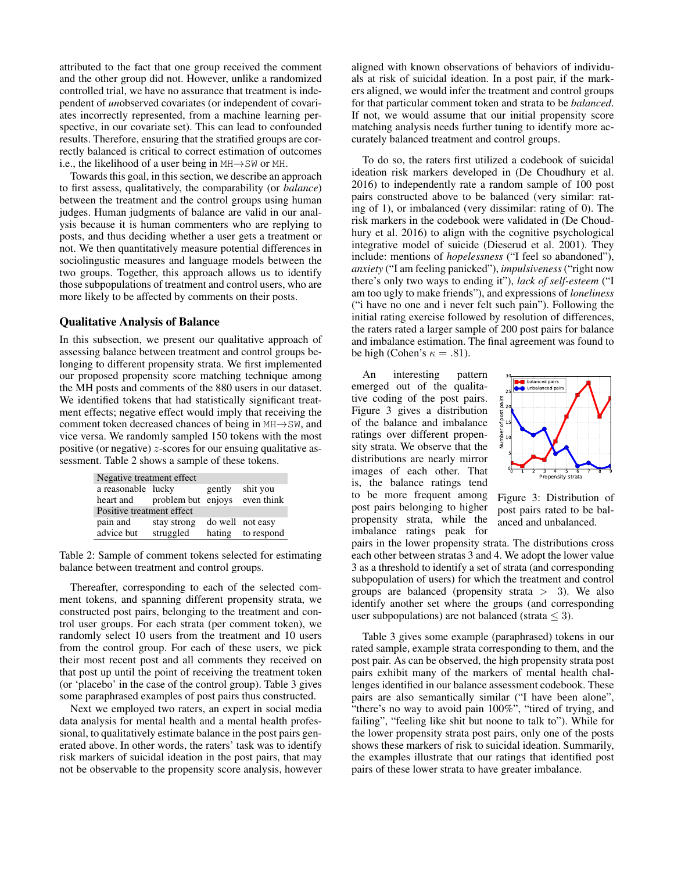attributed to the fact that one group received the comment and the other group did not. However, unlike a randomized controlled trial, we have no assurance that treatment is independent of *un*observed covariates (or independent of covariates incorrectly represented, from a machine learning perspective, in our covariate set). This can lead to confounded results. Therefore, ensuring that the stratified groups are correctly balanced is critical to correct estimation of outcomes i.e., the likelihood of a user being in MH→SW or MH.

Towards this goal, in this section, we describe an approach to first assess, qualitatively, the comparability (or *balance*) between the treatment and the control groups using human judges. Human judgments of balance are valid in our analysis because it is human commenters who are replying to posts, and thus deciding whether a user gets a treatment or not. We then quantitatively measure potential differences in sociolingustic measures and language models between the two groups. Together, this approach allows us to identify those subpopulations of treatment and control users, who are more likely to be affected by comments on their posts.

#### Qualitative Analysis of Balance

In this subsection, we present our qualitative approach of assessing balance between treatment and control groups belonging to different propensity strata. We first implemented our proposed propensity score matching technique among the MH posts and comments of the 880 users in our dataset. We identified tokens that had statistically significant treatment effects; negative effect would imply that receiving the comment token decreased chances of being in MH→SW, and vice versa. We randomly sampled 150 tokens with the most positive (or negative)  $z$ -scores for our ensuing qualitative assessment. Table 2 shows a sample of these tokens.

| Negative treatment effect    |             |        |                   |  |  |
|------------------------------|-------------|--------|-------------------|--|--|
| a reasonable lucky           |             | gently | shit you          |  |  |
| heart and problem but enjoys |             |        | even think        |  |  |
| Positive treatment effect    |             |        |                   |  |  |
| pain and                     | stay strong |        | do well not easy  |  |  |
| advice but                   | struggled   |        | hating to respond |  |  |

Table 2: Sample of comment tokens selected for estimating balance between treatment and control groups.

Thereafter, corresponding to each of the selected comment tokens, and spanning different propensity strata, we constructed post pairs, belonging to the treatment and control user groups. For each strata (per comment token), we randomly select 10 users from the treatment and 10 users from the control group. For each of these users, we pick their most recent post and all comments they received on that post up until the point of receiving the treatment token (or 'placebo' in the case of the control group). Table 3 gives some paraphrased examples of post pairs thus constructed.

Next we employed two raters, an expert in social media data analysis for mental health and a mental health professional, to qualitatively estimate balance in the post pairs generated above. In other words, the raters' task was to identify risk markers of suicidal ideation in the post pairs, that may not be observable to the propensity score analysis, however

aligned with known observations of behaviors of individuals at risk of suicidal ideation. In a post pair, if the markers aligned, we would infer the treatment and control groups for that particular comment token and strata to be *balanced*. If not, we would assume that our initial propensity score matching analysis needs further tuning to identify more accurately balanced treatment and control groups.

To do so, the raters first utilized a codebook of suicidal ideation risk markers developed in (De Choudhury et al. 2016) to independently rate a random sample of 100 post pairs constructed above to be balanced (very similar: rating of 1), or imbalanced (very dissimilar: rating of 0). The risk markers in the codebook were validated in (De Choudhury et al. 2016) to align with the cognitive psychological integrative model of suicide (Dieserud et al. 2001). They include: mentions of *hopelessness* ("I feel so abandoned"), *anxiety* ("I am feeling panicked"), *impulsiveness* ("right now there's only two ways to ending it"), *lack of self-esteem* ("I am too ugly to make friends"), and expressions of *loneliness* ("i have no one and i never felt such pain"). Following the initial rating exercise followed by resolution of differences, the raters rated a larger sample of 200 post pairs for balance and imbalance estimation. The final agreement was found to be high (Cohen's  $\kappa = .81$ ).

An interesting pattern emerged out of the qualitative coding of the post pairs. Figure 3 gives a distribution of the balance and imbalance ratings over different propensity strata. We observe that the distributions are nearly mirror images of each other. That is, the balance ratings tend to be more frequent among post pairs belonging to higher propensity strata, while the imbalance ratings peak for



Figure 3: Distribution of post pairs rated to be balanced and unbalanced.

pairs in the lower propensity strata. The distributions cross each other between stratas 3 and 4. We adopt the lower value 3 as a threshold to identify a set of strata (and corresponding subpopulation of users) for which the treatment and control groups are balanced (propensity strata  $>$  3). We also identify another set where the groups (and corresponding user subpopulations) are not balanced (strata  $\leq$  3).

Table 3 gives some example (paraphrased) tokens in our rated sample, example strata corresponding to them, and the post pair. As can be observed, the high propensity strata post pairs exhibit many of the markers of mental health challenges identified in our balance assessment codebook. These pairs are also semantically similar ("I have been alone", "there's no way to avoid pain 100%", "tired of trying, and failing", "feeling like shit but noone to talk to"). While for the lower propensity strata post pairs, only one of the posts shows these markers of risk to suicidal ideation. Summarily, the examples illustrate that our ratings that identified post pairs of these lower strata to have greater imbalance.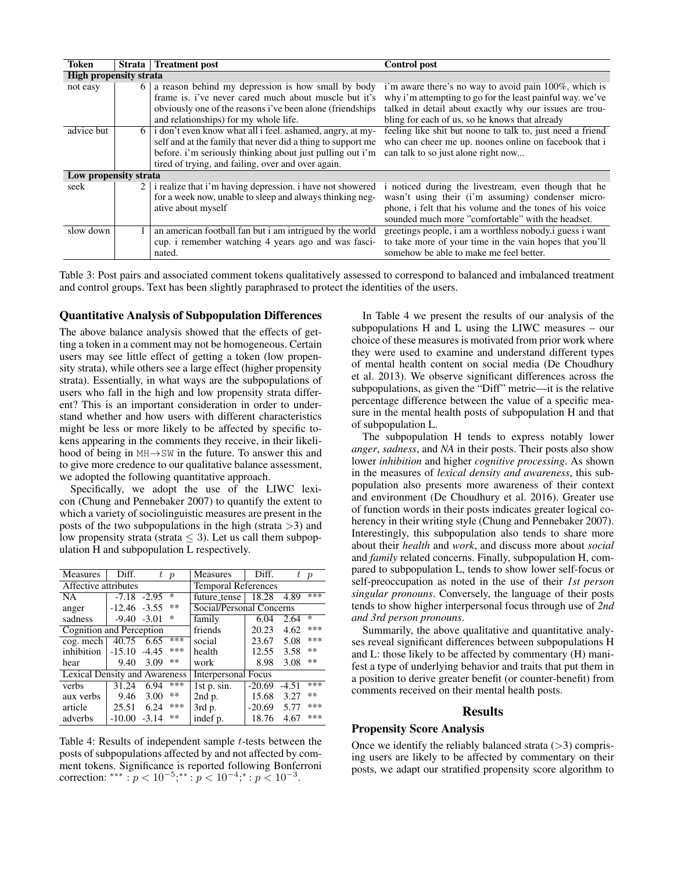| Token                         | Strata | <b>Treatment post</b>                                       | <b>Control post</b>                                        |  |  |  |
|-------------------------------|--------|-------------------------------------------------------------|------------------------------------------------------------|--|--|--|
| <b>High propensity strata</b> |        |                                                             |                                                            |  |  |  |
| not easy                      | 6      | a reason behind my depression is how small by body          | i'm aware there's no way to avoid pain 100%, which is      |  |  |  |
|                               |        | frame is, i've never cared much about muscle but it's       | why i'm attempting to go for the least painful way. we've  |  |  |  |
|                               |        | obviously one of the reasons i've been alone (friendships   | talked in detail about exactly why our issues are trou-    |  |  |  |
|                               |        | and relationships) for my whole life.                       | bling for each of us, so he knows that already             |  |  |  |
| advice but                    | 6 I    | i don't even know what all i feel, ashamed, angry, at my-   | feeling like shit but noone to talk to, just need a friend |  |  |  |
|                               |        | self and at the family that never did a thing to support me | who can cheer me up. noones online on facebook that i      |  |  |  |
|                               |        | before. i'm seriously thinking about just pulling out i'm   | can talk to so just alone right now                        |  |  |  |
|                               |        | tired of trying, and failing, over and over again.          |                                                            |  |  |  |
| Low propensity strata         |        |                                                             |                                                            |  |  |  |
| seek                          | 2 I    | i realize that i'm having depression. i have not showered   | i noticed during the livestream, even though that he       |  |  |  |
|                               |        | for a week now, unable to sleep and always thinking neg-    | wasn't using their (i'm assuming) condenser micro-         |  |  |  |
|                               |        | ative about myself                                          | phone, i felt that his volume and the tones of his voice   |  |  |  |
|                               |        |                                                             | sounded much more "comfortable" with the headset.          |  |  |  |
| slow down                     |        | an american football fan but i am intrigued by the world    | greetings people, i am a worthless nobody.i guess i want   |  |  |  |
|                               |        | cup. i remember watching 4 years ago and was fasci-         | to take more of your time in the vain hopes that you'll    |  |  |  |
|                               |        | nated.                                                      | somehow be able to make me feel better.                    |  |  |  |

Table 3: Post pairs and associated comment tokens qualitatively assessed to correspond to balanced and imbalanced treatment and control groups. Text has been slightly paraphrased to protect the identities of the users.

#### Quantitative Analysis of Subpopulation Differences

The above balance analysis showed that the effects of getting a token in a comment may not be homogeneous. Certain users may see little effect of getting a token (low propensity strata), while others see a large effect (higher propensity strata). Essentially, in what ways are the subpopulations of users who fall in the high and low propensity strata different? This is an important consideration in order to understand whether and how users with different characteristics might be less or more likely to be affected by specific tokens appearing in the comments they receive, in their likelihood of being in MH→SW in the future. To answer this and to give more credence to our qualitative balance assessment, we adopted the following quantitative approach.

Specifically, we adopt the use of the LIWC lexicon (Chung and Pennebaker 2007) to quantify the extent to which a variety of sociolinguistic measures are present in the posts of the two subpopulations in the high (strata  $>$ 3) and low propensity strata (strata  $\leq$  3). Let us call them subpopulation H and subpopulation L respectively.

| <b>Measures</b>                      | Diff.           |                 | t p   | <b>Measures</b>            | Diff.    |         | $\boldsymbol{p}$ |
|--------------------------------------|-----------------|-----------------|-------|----------------------------|----------|---------|------------------|
| Affective attributes                 |                 |                 |       | <b>Temporal References</b> |          |         |                  |
| <b>NA</b>                            |                 | $-7.18$ $-2.95$ | ∗     | future_tense               | 18.28    | 4.89    | ***              |
| anger                                | $-12.46 - 3.55$ |                 | $**$  | Social/Personal Concerns   |          |         |                  |
| sadness                              | $-9.40 - 3.01$  |                 | ∗     | family                     | 6.04     | 2.64    | $\ast$           |
| Cognition and Perception             |                 |                 |       | friends                    | 20.23    | 4.62    | ***              |
| $\cos$ . mech                        | $40.75$ 6.65    |                 | ***   | social                     | 23.67    | 5.08    | ***              |
| inhibition                           | $-15.10 - 4.45$ |                 | ***   | health                     | 12.55    | 3.58    | $***$            |
| hear                                 | 9.40            | 3.09            | $* *$ | work                       | 8.98     | 3.08    | $***$            |
| <b>Lexical Density and Awareness</b> |                 |                 |       | <b>Interpersonal Focus</b> |          |         |                  |
| verbs                                | 31.24           | 6.94            | ***   | $1st$ p. sin.              | $-20.69$ | $-4.51$ | ***              |
| aux verbs                            | 9.46            | 3.00            | **    | 2nd p.                     | 15.68    | 3.27    | $***$            |
| article                              | 25.51           | 6.24            | ***   | 3rd p.                     | $-20.69$ | 5.77    | ***              |
| adverbs                              | $-10.00$        | $-3.14$         | $* *$ | indef p.                   | 18.76    | 4.67    | ***              |

Table 4: Results of independent sample t-tests between the posts of subpopulations affected by and not affected by comment tokens. Significance is reported following Bonferroni correction: \*\*\* :  $p < 10^{-5}$ ;\*\* :  $p < 10^{-4}$ ;\* :  $p < 10^{-3}$ .

In Table 4 we present the results of our analysis of the subpopulations H and L using the LIWC measures – our choice of these measures is motivated from prior work where they were used to examine and understand different types of mental health content on social media (De Choudhury et al. 2013). We observe significant differences across the subpopulations, as given the "Diff" metric—it is the relative percentage difference between the value of a specific measure in the mental health posts of subpopulation H and that of subpopulation L.

The subpopulation H tends to express notably lower *anger*, *sadness*, and *NA* in their posts. Their posts also show lower *inhibition* and higher *cognitive processing*. As shown in the measures of *lexical density and awareness*, this subpopulation also presents more awareness of their context and environment (De Choudhury et al. 2016). Greater use of function words in their posts indicates greater logical coherency in their writing style (Chung and Pennebaker 2007). Interestingly, this subpopulation also tends to share more about their *health* and *work*, and discuss more about *social* and *family* related concerns. Finally, subpopulation H, compared to subpopulation L, tends to show lower self-focus or self-preoccupation as noted in the use of their *1st person singular pronouns*. Conversely, the language of their posts tends to show higher interpersonal focus through use of *2nd and 3rd person pronouns*.

Summarily, the above qualitative and quantitative analyses reveal significant differences between subpopulations H and L: those likely to be affected by commentary (H) manifest a type of underlying behavior and traits that put them in a position to derive greater benefit (or counter-benefit) from comments received on their mental health posts.

#### Results

## Propensity Score Analysis

Once we identify the reliably balanced strata  $(>3)$  comprising users are likely to be affected by commentary on their posts, we adapt our stratified propensity score algorithm to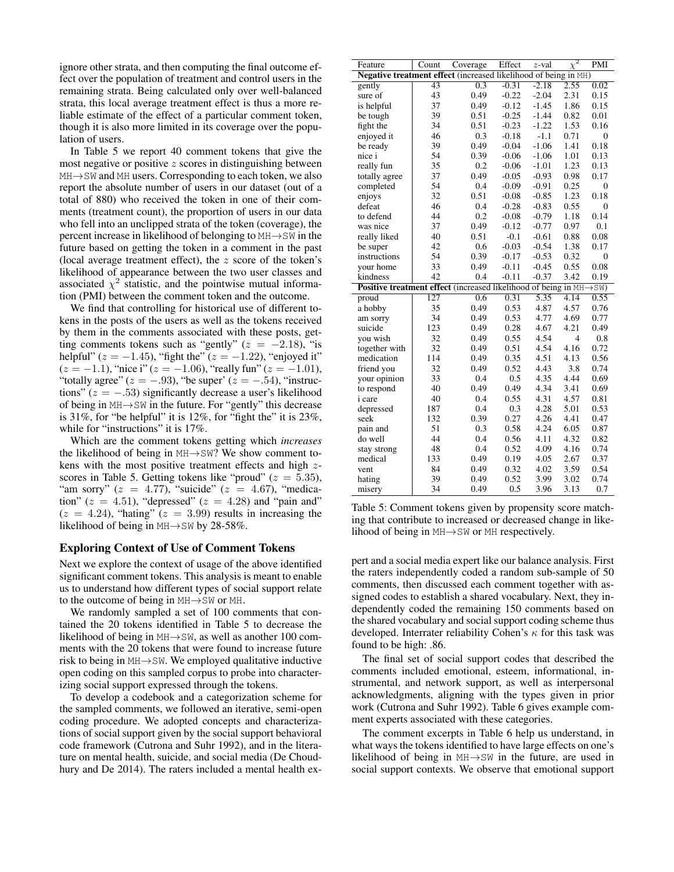ignore other strata, and then computing the final outcome effect over the population of treatment and control users in the remaining strata. Being calculated only over well-balanced strata, this local average treatment effect is thus a more reliable estimate of the effect of a particular comment token, though it is also more limited in its coverage over the population of users.

In Table 5 we report 40 comment tokens that give the most negative or positive  $z$  scores in distinguishing between MH→SW and MH users. Corresponding to each token, we also report the absolute number of users in our dataset (out of a total of 880) who received the token in one of their comments (treatment count), the proportion of users in our data who fell into an unclipped strata of the token (coverage), the percent increase in likelihood of belonging to MH→SW in the future based on getting the token in a comment in the past (local average treatment effect), the  $z$  score of the token's likelihood of appearance between the two user classes and associated  $\chi^2$  statistic, and the pointwise mutual information (PMI) between the comment token and the outcome.

We find that controlling for historical use of different tokens in the posts of the users as well as the tokens received by them in the comments associated with these posts, getting comments tokens such as "gently" ( $z = -2.18$ ), "is helpful" ( $z = -1.45$ ), "fight the" ( $z = -1.22$ ), "enjoyed it"  $(z = -1.1)$ , "nice i"  $(z = -1.06)$ , "really fun"  $(z = -1.01)$ , "totally agree"  $(z = -.93)$ , "be super"  $(z = -.54)$ , "instructions" ( $z = -.53$ ) significantly decrease a user's likelihood of being in MH→SW in the future. For "gently" this decrease is 31%, for "be helpful" it is 12%, for "fight the" it is  $23\%$ , while for "instructions" it is 17%.

Which are the comment tokens getting which *increases* the likelihood of being in  $MH \rightarrow SW$ ? We show comment tokens with the most positive treatment effects and high zscores in Table 5. Getting tokens like "proud" ( $z = 5.35$ ), "am sorry"  $(z = 4.77)$ , "suicide"  $(z = 4.67)$ , "medication" ( $z = 4.51$ ), "depressed" ( $z = 4.28$ ) and "pain and"  $(z = 4.24)$ , "hating"  $(z = 3.99)$  results in increasing the likelihood of being in  $MH \rightarrow SW$  by 28-58%.

#### Exploring Context of Use of Comment Tokens

Next we explore the context of usage of the above identified significant comment tokens. This analysis is meant to enable us to understand how different types of social support relate to the outcome of being in MH→SW or MH.

We randomly sampled a set of 100 comments that contained the 20 tokens identified in Table 5 to decrease the likelihood of being in MH→SW, as well as another 100 comments with the 20 tokens that were found to increase future risk to being in MH→SW. We employed qualitative inductive open coding on this sampled corpus to probe into characterizing social support expressed through the tokens.

To develop a codebook and a categorization scheme for the sampled comments, we followed an iterative, semi-open coding procedure. We adopted concepts and characterizations of social support given by the social support behavioral code framework (Cutrona and Suhr 1992), and in the literature on mental health, suicide, and social media (De Choudhury and De 2014). The raters included a mental health ex-

| Feature                                                                                  | Count           | Coverage | Effect  | z-val             | $\chi^2$       | PMI            |
|------------------------------------------------------------------------------------------|-----------------|----------|---------|-------------------|----------------|----------------|
| Negative treatment effect (increased likelihood of being in MH)                          |                 |          |         |                   |                |                |
| gently                                                                                   | $\overline{43}$ | 0.3      | $-0.31$ | $-2.18$           | 2.55           | 0.02           |
| sure of                                                                                  | 43              | 0.49     | $-0.22$ | $-2.04$           | 2.31           | 0.15           |
| is helpful                                                                               | 37              | 0.49     | $-0.12$ | $-1.45$           | 1.86           | 0.15           |
| be tough                                                                                 | 39              | 0.51     | $-0.25$ | $-1.44$           | 0.82           | 0.01           |
| fight the                                                                                | 34              | 0.51     | $-0.23$ | $-1.22$           | 1.53           | 0.16           |
| enjoyed it                                                                               | 46              | 0.3      | $-0.18$ | $-1.1$            | 0.71           | $\overline{0}$ |
| be ready                                                                                 | 39              | 0.49     | $-0.04$ | $-1.06$           | 1.41           | 0.18           |
| nice i                                                                                   | 54              | 0.39     | $-0.06$ | $-1.06$           | 1.01           | 0.13           |
| really fun                                                                               | 35              | 0.2      | $-0.06$ | $-1.01$           | 1.23           | 0.13           |
| totally agree                                                                            | 37              | 0.49     | $-0.05$ | $-0.93$           | 0.98           | 0.17           |
| completed                                                                                | 54              | 0.4      | $-0.09$ | $-0.91$           | 0.25           | $\overline{0}$ |
| enjoys                                                                                   | 32              | 0.51     | $-0.08$ | $-0.85$           | 1.23           | 0.18           |
| defeat                                                                                   | 46              | 0.4      | $-0.28$ | $-0.83$           | 0.55           | $\overline{0}$ |
| to defend                                                                                | 44              | 0.2      | $-0.08$ | $-0.79$           | 1.18           | 0.14           |
| was nice                                                                                 | 37              | 0.49     | $-0.12$ | $-0.77$           | 0.97           | 0.1            |
| really liked                                                                             | 40              | 0.51     | $-0.1$  | $-0.61$           | 0.88           | 0.08           |
| be super                                                                                 | 42              | 0.6      | $-0.03$ | $-0.54$           | 1.38           | 0.17           |
| instructions                                                                             | 54              | 0.39     | $-0.17$ | $-0.53$           | 0.32           | $\mathbf{0}$   |
| your home                                                                                | 33              | 0.49     | $-0.11$ | $-0.45$           | 0.55           | 0.08           |
| kindness                                                                                 | 42              | 0.4      | $-0.11$ | $-0.37$           | 3.42           | 0.19           |
| <b>Positive treatment effect</b> (increased likelihood of being in $MH \rightarrow SW$ ) |                 |          |         |                   |                |                |
| proud                                                                                    | 127             | 0.6      | 0.31    | $\overline{5.35}$ | 4.14           | 0.55           |
| a hobby                                                                                  | 35              | 0.49     | 0.53    | 4.87              | 4.57           | 0.76           |
| am sorry                                                                                 | 34              | 0.49     | 0.53    | 4.77              | 4.69           | 0.77           |
| suicide                                                                                  | 123             | 0.49     | 0.28    | 4.67              | 4.21           | 0.49           |
| you wish                                                                                 | 32              | 0.49     | 0.55    | 4.54              | $\overline{4}$ | 0.8            |
| together with                                                                            | 32              | 0.49     | 0.51    | 4.54              | 4.16           | 0.72           |
| medication                                                                               | 114             | 0.49     | 0.35    | 4.51              | 4.13           | 0.56           |
| friend you                                                                               | 32              | 0.49     | 0.52    | 4.43              | 3.8            | 0.74           |
| your opinion                                                                             | 33              | 0.4      | 0.5     | 4.35              | 4.44           | 0.69           |
| to respond                                                                               | 40              | 0.49     | 0.49    | 4.34              | 3.41           | 0.69           |
| i care                                                                                   | 40              | 0.4      | 0.55    | 4.31              | 4.57           | 0.81           |
| depressed                                                                                | 187             | 0.4      | 0.3     | 4.28              | 5.01           | 0.53           |
| seek                                                                                     | 132             | 0.39     | 0.27    | 4.26              | 4.41           | 0.47           |
| pain and                                                                                 | 51              | 0.3      | 0.58    | 4.24              | 6.05           | 0.87           |
| do well                                                                                  | 44              | 0.4      | 0.56    | 4.11              | 4.32           | 0.82           |
| stay strong                                                                              | 48              | 0.4      | 0.52    | 4.09              | 4.16           | 0.74           |
| medical                                                                                  | 133             | 0.49     | 0.19    | 4.05              | 2.67           | 0.37           |
| vent                                                                                     | 84              | 0.49     | 0.32    | 4.02              | 3.59           | 0.54           |
| hating                                                                                   | 39              | 0.49     | 0.52    | 3.99              | 3.02           | 0.74           |
| misery                                                                                   | 34              | 0.49     | 0.5     | 3.96              | 3.13           | 0.7            |

Table 5: Comment tokens given by propensity score matching that contribute to increased or decreased change in likelihood of being in MH→SW or MH respectively.

pert and a social media expert like our balance analysis. First the raters independently coded a random sub-sample of 50 comments, then discussed each comment together with assigned codes to establish a shared vocabulary. Next, they independently coded the remaining 150 comments based on the shared vocabulary and social support coding scheme thus developed. Interrater reliability Cohen's  $\kappa$  for this task was found to be high: .86.

The final set of social support codes that described the comments included emotional, esteem, informational, instrumental, and network support, as well as interpersonal acknowledgments, aligning with the types given in prior work (Cutrona and Suhr 1992). Table 6 gives example comment experts associated with these categories.

The comment excerpts in Table 6 help us understand, in what ways the tokens identified to have large effects on one's likelihood of being in MH→SW in the future, are used in social support contexts. We observe that emotional support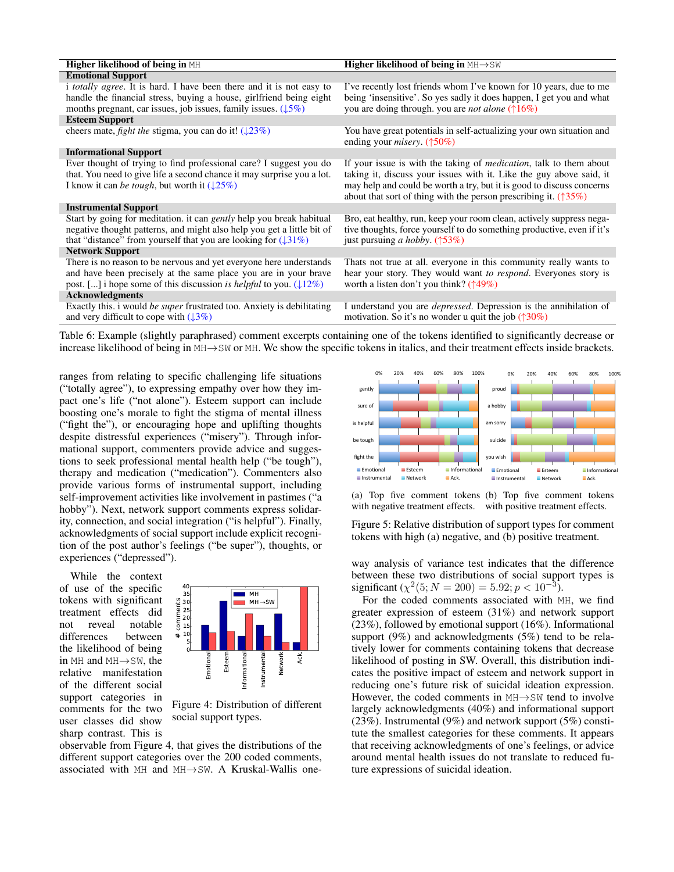| <b>Higher likelihood of being in MH</b>                                                                                                                                                                                             | <b>Higher likelihood of being in <math>MH \rightarrow SW</math></b>                                                                                                                       |
|-------------------------------------------------------------------------------------------------------------------------------------------------------------------------------------------------------------------------------------|-------------------------------------------------------------------------------------------------------------------------------------------------------------------------------------------|
| <b>Emotional Support</b>                                                                                                                                                                                                            |                                                                                                                                                                                           |
| <i>i totally agree.</i> It is hard. I have been there and it is not easy to<br>handle the financial stress, buying a house, girlfriend being eight                                                                                  | I've recently lost friends whom I've known for 10 years, due to me<br>being 'insensitive'. So yes sadly it does happen, I get you and what                                                |
| months pregnant, car issues, job issues, family issues. $(15\%)$                                                                                                                                                                    | you are doing through, you are <i>not alone</i> ( $\uparrow$ 16%)                                                                                                                         |
| <b>Esteem Support</b>                                                                                                                                                                                                               |                                                                                                                                                                                           |
| cheers mate, <i>fight the</i> stigma, you can do it! $(\sqrt{23\%})$                                                                                                                                                                | You have great potentials in self-actualizing your own situation and<br>ending your <i>misery</i> . $(†50\%)$                                                                             |
| <b>Informational Support</b>                                                                                                                                                                                                        |                                                                                                                                                                                           |
| Ever thought of trying to find professional care? I suggest you do<br>that. You need to give life a second chance it may surprise you a lot.                                                                                        | If your issue is with the taking of <i>medication</i> , talk to them about<br>taking it, discuss your issues with it. Like the guy above said, it                                         |
| I know it can be tough, but worth it $(\sqrt{25\%})$                                                                                                                                                                                | may help and could be worth a try, but it is good to discuss concerns<br>about that sort of thing with the person prescribing it. $(\uparrow 35\%)$                                       |
| <b>Instrumental Support</b>                                                                                                                                                                                                         |                                                                                                                                                                                           |
| Start by going for meditation, it can <i>gently</i> help you break habitual<br>negative thought patterns, and might also help you get a little bit of<br>that "distance" from yourself that you are looking for $(\downarrow 31\%)$ | Bro, eat healthy, run, keep your room clean, actively suppress nega-<br>tive thoughts, force yourself to do something productive, even if it's<br>just pursuing <i>a hobby</i> . $(†53%)$ |
| <b>Network Support</b>                                                                                                                                                                                                              |                                                                                                                                                                                           |
| There is no reason to be nervous and yet everyone here understands<br>and have been precisely at the same place you are in your brave<br>post. [] i hope some of this discussion is helpful to you. $(12\%)$                        | Thats not true at all. everyone in this community really wants to<br>hear your story. They would want to respond. Everyones story is<br>worth a listen don't you think? $(\uparrow 49\%)$ |
| <b>Acknowledgments</b>                                                                                                                                                                                                              |                                                                                                                                                                                           |
| Exactly this. i would be super frustrated too. Anxiety is debilitating<br>and very difficult to cope with $(13\%)$                                                                                                                  | I understand you are <i>depressed</i> . Depression is the annihilation of<br>motivation. So it's no wonder u quit the job $(\uparrow 30\%)$                                               |
|                                                                                                                                                                                                                                     |                                                                                                                                                                                           |

Table 6: Example (slightly paraphrased) comment excerpts containing one of the tokens identified to significantly decrease or increase likelihood of being in MH→SW or MH. We show the specific tokens in italics, and their treatment effects inside brackets.

ranges from relating to specific challenging life situations ("totally agree"), to expressing empathy over how they impact one's life ("not alone"). Esteem support can include boosting one's morale to fight the stigma of mental illness ("fight the"), or encouraging hope and uplifting thoughts despite distressful experiences ("misery"). Through informational support, commenters provide advice and suggestions to seek professional mental health help ("be tough"), therapy and medication ("medication"). Commenters also provide various forms of instrumental support, including self-improvement activities like involvement in pastimes ("a hobby"). Next, network support comments express solidarity, connection, and social integration ("is helpful"). Finally, acknowledgments of social support include explicit recognition of the post author's feelings ("be super"), thoughts, or experiences ("depressed").

While the context of use of the specific tokens with significant treatment effects did not reveal notable<br>differences between differences the likelihood of being in MH and MH→SW, the relative manifestation of the different social support categories in comments for the two user classes did show sharp contrast. This is



Figure 4: Distribution of different social support types.

observable from Figure 4, that gives the distributions of the different support categories over the 200 coded comments, associated with MH and MH→SW. A Kruskal-Wallis one-



(a) Top five comment tokens (b) Top five comment tokens with negative treatment effects. with positive treatment effects.

Figure 5: Relative distribution of support types for comment tokens with high (a) negative, and (b) positive treatment.

way analysis of variance test indicates that the difference between these two distributions of social support types is significant ( $\chi^2(5; N = 200) = 5.92; p < 10^{-3}$ ).

For the coded comments associated with MH, we find greater expression of esteem (31%) and network support (23%), followed by emotional support (16%). Informational support (9%) and acknowledgments (5%) tend to be relatively lower for comments containing tokens that decrease likelihood of posting in SW. Overall, this distribution indicates the positive impact of esteem and network support in reducing one's future risk of suicidal ideation expression. However, the coded comments in  $MH \rightarrow SW$  tend to involve largely acknowledgments (40%) and informational support (23%). Instrumental (9%) and network support (5%) constitute the smallest categories for these comments. It appears that receiving acknowledgments of one's feelings, or advice around mental health issues do not translate to reduced future expressions of suicidal ideation.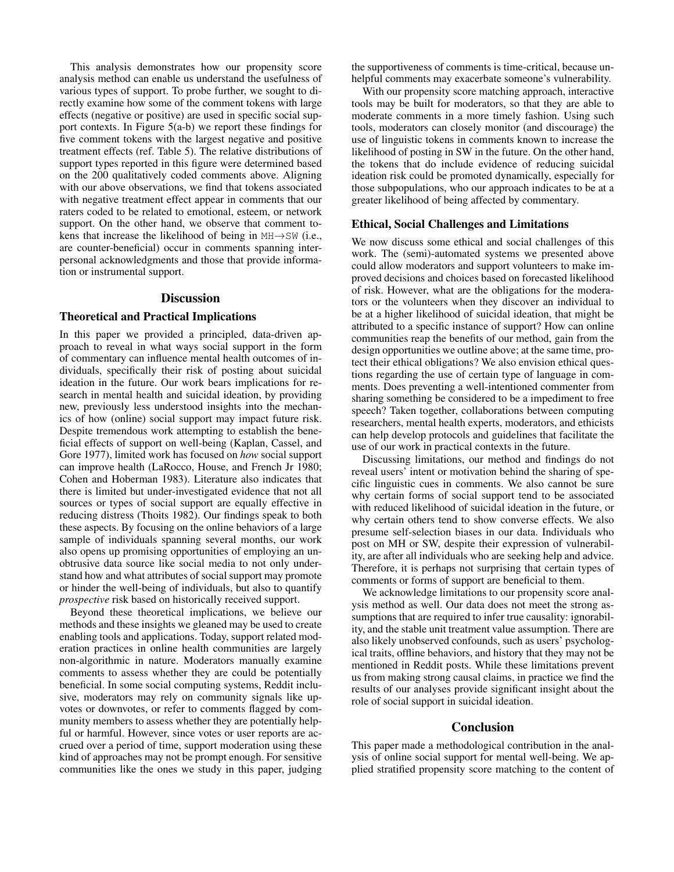This analysis demonstrates how our propensity score analysis method can enable us understand the usefulness of various types of support. To probe further, we sought to directly examine how some of the comment tokens with large effects (negative or positive) are used in specific social support contexts. In Figure 5(a-b) we report these findings for five comment tokens with the largest negative and positive treatment effects (ref. Table 5). The relative distributions of support types reported in this figure were determined based on the 200 qualitatively coded comments above. Aligning with our above observations, we find that tokens associated with negative treatment effect appear in comments that our raters coded to be related to emotional, esteem, or network support. On the other hand, we observe that comment tokens that increase the likelihood of being in MH→SW (i.e., are counter-beneficial) occur in comments spanning interpersonal acknowledgments and those that provide information or instrumental support.

#### **Discussion**

#### Theoretical and Practical Implications

In this paper we provided a principled, data-driven approach to reveal in what ways social support in the form of commentary can influence mental health outcomes of individuals, specifically their risk of posting about suicidal ideation in the future. Our work bears implications for research in mental health and suicidal ideation, by providing new, previously less understood insights into the mechanics of how (online) social support may impact future risk. Despite tremendous work attempting to establish the beneficial effects of support on well-being (Kaplan, Cassel, and Gore 1977), limited work has focused on *how* social support can improve health (LaRocco, House, and French Jr 1980; Cohen and Hoberman 1983). Literature also indicates that there is limited but under-investigated evidence that not all sources or types of social support are equally effective in reducing distress (Thoits 1982). Our findings speak to both these aspects. By focusing on the online behaviors of a large sample of individuals spanning several months, our work also opens up promising opportunities of employing an unobtrusive data source like social media to not only understand how and what attributes of social support may promote or hinder the well-being of individuals, but also to quantify *prospective* risk based on historically received support.

Beyond these theoretical implications, we believe our methods and these insights we gleaned may be used to create enabling tools and applications. Today, support related moderation practices in online health communities are largely non-algorithmic in nature. Moderators manually examine comments to assess whether they are could be potentially beneficial. In some social computing systems, Reddit inclusive, moderators may rely on community signals like upvotes or downvotes, or refer to comments flagged by community members to assess whether they are potentially helpful or harmful. However, since votes or user reports are accrued over a period of time, support moderation using these kind of approaches may not be prompt enough. For sensitive communities like the ones we study in this paper, judging

the supportiveness of comments is time-critical, because unhelpful comments may exacerbate someone's vulnerability.

With our propensity score matching approach, interactive tools may be built for moderators, so that they are able to moderate comments in a more timely fashion. Using such tools, moderators can closely monitor (and discourage) the use of linguistic tokens in comments known to increase the likelihood of posting in SW in the future. On the other hand, the tokens that do include evidence of reducing suicidal ideation risk could be promoted dynamically, especially for those subpopulations, who our approach indicates to be at a greater likelihood of being affected by commentary.

# Ethical, Social Challenges and Limitations

We now discuss some ethical and social challenges of this work. The (semi)-automated systems we presented above could allow moderators and support volunteers to make improved decisions and choices based on forecasted likelihood of risk. However, what are the obligations for the moderators or the volunteers when they discover an individual to be at a higher likelihood of suicidal ideation, that might be attributed to a specific instance of support? How can online communities reap the benefits of our method, gain from the design opportunities we outline above; at the same time, protect their ethical obligations? We also envision ethical questions regarding the use of certain type of language in comments. Does preventing a well-intentioned commenter from sharing something be considered to be a impediment to free speech? Taken together, collaborations between computing researchers, mental health experts, moderators, and ethicists can help develop protocols and guidelines that facilitate the use of our work in practical contexts in the future.

Discussing limitations, our method and findings do not reveal users' intent or motivation behind the sharing of specific linguistic cues in comments. We also cannot be sure why certain forms of social support tend to be associated with reduced likelihood of suicidal ideation in the future, or why certain others tend to show converse effects. We also presume self-selection biases in our data. Individuals who post on MH or SW, despite their expression of vulnerability, are after all individuals who are seeking help and advice. Therefore, it is perhaps not surprising that certain types of comments or forms of support are beneficial to them.

We acknowledge limitations to our propensity score analysis method as well. Our data does not meet the strong assumptions that are required to infer true causality: ignorability, and the stable unit treatment value assumption. There are also likely unobserved confounds, such as users' psychological traits, offline behaviors, and history that they may not be mentioned in Reddit posts. While these limitations prevent us from making strong causal claims, in practice we find the results of our analyses provide significant insight about the role of social support in suicidal ideation.

# **Conclusion**

This paper made a methodological contribution in the analysis of online social support for mental well-being. We applied stratified propensity score matching to the content of